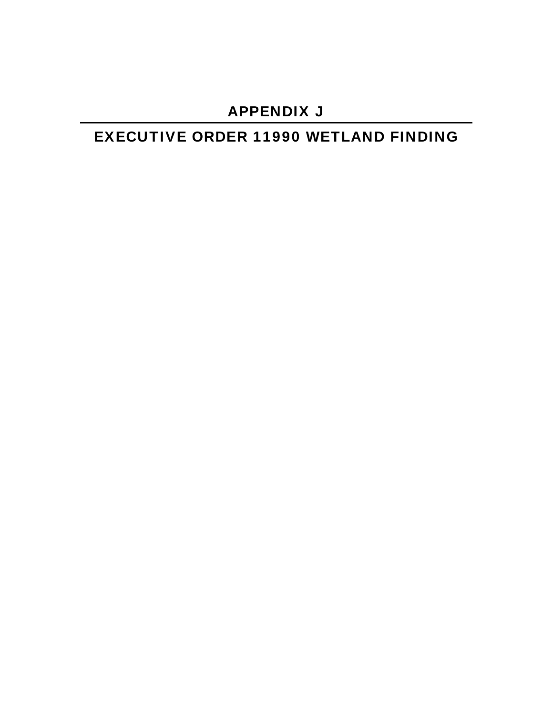## APPENDIX J

# EXECUTIVE ORDER 11990 WETLAND FINDING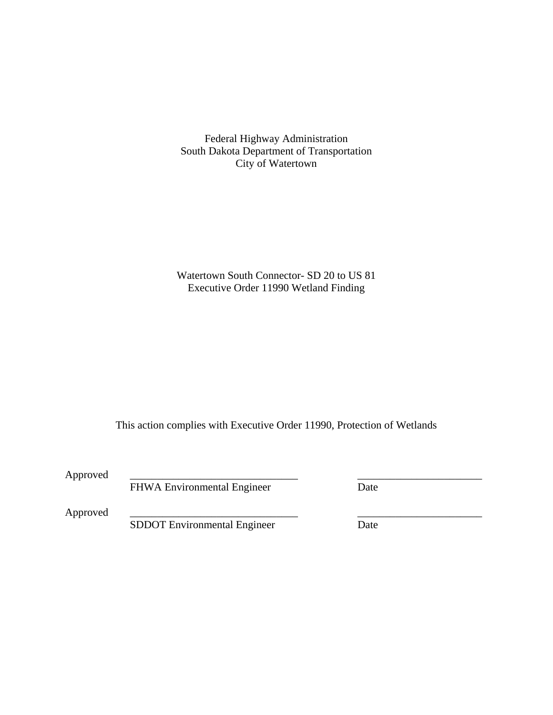Federal Highway Administration South Dakota Department of Transportation City of Watertown

Watertown South Connector- SD 20 to US 81 Executive Order 11990 Wetland Finding

This action complies with Executive Order 11990, Protection of Wetlands

Approved

FHWA Environmental Engineer Date

Approved

SDDOT Environmental Engineer Date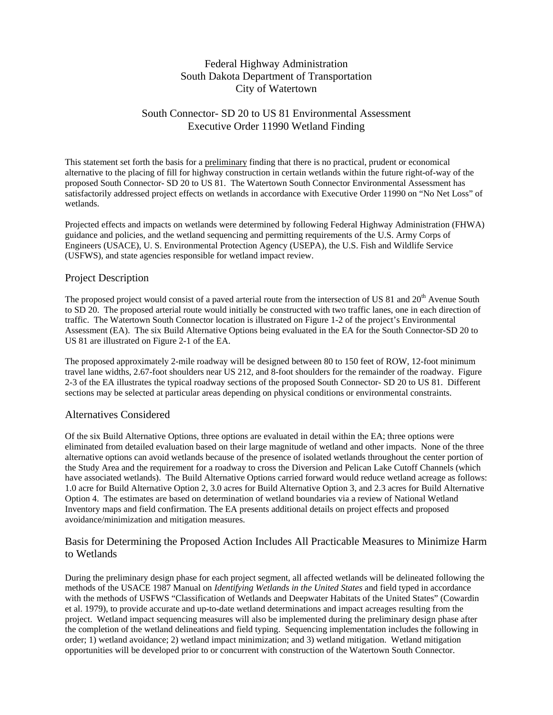## Federal Highway Administration South Dakota Department of Transportation City of Watertown

## South Connector- SD 20 to US 81 Environmental Assessment Executive Order 11990 Wetland Finding

This statement set forth the basis for a preliminary finding that there is no practical, prudent or economical alternative to the placing of fill for highway construction in certain wetlands within the future right-of-way of the proposed South Connector- SD 20 to US 81. The Watertown South Connector Environmental Assessment has satisfactorily addressed project effects on wetlands in accordance with Executive Order 11990 on "No Net Loss" of wetlands.

Projected effects and impacts on wetlands were determined by following Federal Highway Administration (FHWA) guidance and policies, and the wetland sequencing and permitting requirements of the U.S. Army Corps of Engineers (USACE), U. S. Environmental Protection Agency (USEPA), the U.S. Fish and Wildlife Service (USFWS), and state agencies responsible for wetland impact review.

## Project Description

The proposed project would consist of a paved arterial route from the intersection of US 81 and 20<sup>th</sup> Avenue South to SD 20. The proposed arterial route would initially be constructed with two traffic lanes, one in each direction of traffic. The Watertown South Connector location is illustrated on Figure 1-2 of the project's Environmental Assessment (EA). The six Build Alternative Options being evaluated in the EA for the South Connector-SD 20 to US 81 are illustrated on Figure 2-1 of the EA.

The proposed approximately 2-mile roadway will be designed between 80 to 150 feet of ROW, 12-foot minimum travel lane widths, 2.67-foot shoulders near US 212, and 8-foot shoulders for the remainder of the roadway. Figure 2-3 of the EA illustrates the typical roadway sections of the proposed South Connector- SD 20 to US 81. Different sections may be selected at particular areas depending on physical conditions or environmental constraints.

#### Alternatives Considered

Of the six Build Alternative Options, three options are evaluated in detail within the EA; three options were eliminated from detailed evaluation based on their large magnitude of wetland and other impacts. None of the three alternative options can avoid wetlands because of the presence of isolated wetlands throughout the center portion of the Study Area and the requirement for a roadway to cross the Diversion and Pelican Lake Cutoff Channels (which have associated wetlands). The Build Alternative Options carried forward would reduce wetland acreage as follows: 1.0 acre for Build Alternative Option 2, 3.0 acres for Build Alternative Option 3, and 2.3 acres for Build Alternative Option 4. The estimates are based on determination of wetland boundaries via a review of National Wetland Inventory maps and field confirmation. The EA presents additional details on project effects and proposed avoidance/minimization and mitigation measures.

## Basis for Determining the Proposed Action Includes All Practicable Measures to Minimize Harm to Wetlands

During the preliminary design phase for each project segment, all affected wetlands will be delineated following the methods of the USACE 1987 Manual on *Identifying Wetlands in the United States* and field typed in accordance with the methods of USFWS "Classification of Wetlands and Deepwater Habitats of the United States" (Cowardin et al. 1979), to provide accurate and up-to-date wetland determinations and impact acreages resulting from the project. Wetland impact sequencing measures will also be implemented during the preliminary design phase after the completion of the wetland delineations and field typing. Sequencing implementation includes the following in order; 1) wetland avoidance; 2) wetland impact minimization; and 3) wetland mitigation. Wetland mitigation opportunities will be developed prior to or concurrent with construction of the Watertown South Connector.